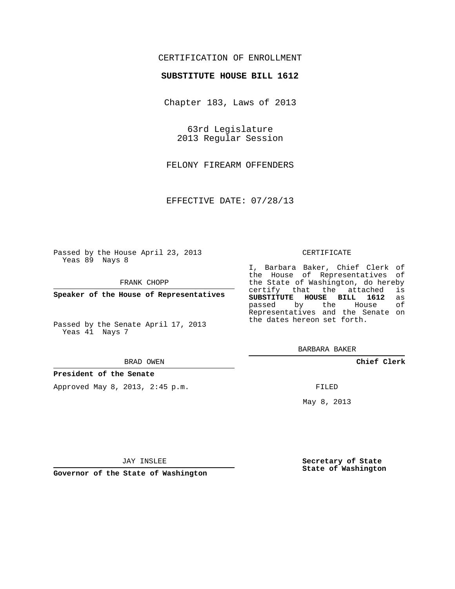## CERTIFICATION OF ENROLLMENT

### **SUBSTITUTE HOUSE BILL 1612**

Chapter 183, Laws of 2013

63rd Legislature 2013 Regular Session

FELONY FIREARM OFFENDERS

EFFECTIVE DATE: 07/28/13

Passed by the House April 23, 2013 Yeas 89 Nays 8

FRANK CHOPP

**Speaker of the House of Representatives**

Passed by the Senate April 17, 2013 Yeas 41 Nays 7

#### BRAD OWEN

#### **President of the Senate**

Approved May 8, 2013, 2:45 p.m.

#### CERTIFICATE

I, Barbara Baker, Chief Clerk of the House of Representatives of the State of Washington, do hereby<br>certify that the attached is certify that the attached **SUBSTITUTE HOUSE BILL 1612** as passed by the Representatives and the Senate on the dates hereon set forth.

BARBARA BAKER

**Chief Clerk**

FILED

May 8, 2013

**Secretary of State State of Washington**

JAY INSLEE

**Governor of the State of Washington**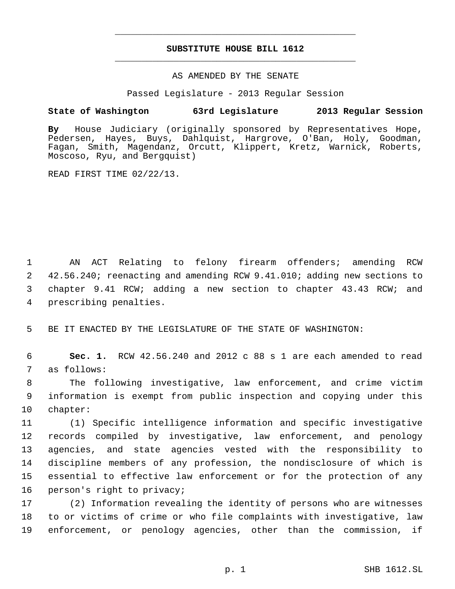# **SUBSTITUTE HOUSE BILL 1612** \_\_\_\_\_\_\_\_\_\_\_\_\_\_\_\_\_\_\_\_\_\_\_\_\_\_\_\_\_\_\_\_\_\_\_\_\_\_\_\_\_\_\_\_\_

\_\_\_\_\_\_\_\_\_\_\_\_\_\_\_\_\_\_\_\_\_\_\_\_\_\_\_\_\_\_\_\_\_\_\_\_\_\_\_\_\_\_\_\_\_

### AS AMENDED BY THE SENATE

Passed Legislature - 2013 Regular Session

## **State of Washington 63rd Legislature 2013 Regular Session**

**By** House Judiciary (originally sponsored by Representatives Hope, Pedersen, Hayes, Buys, Dahlquist, Hargrove, O'Ban, Holy, Goodman, Fagan, Smith, Magendanz, Orcutt, Klippert, Kretz, Warnick, Roberts, Moscoso, Ryu, and Bergquist)

READ FIRST TIME 02/22/13.

 AN ACT Relating to felony firearm offenders; amending RCW 42.56.240; reenacting and amending RCW 9.41.010; adding new sections to chapter 9.41 RCW; adding a new section to chapter 43.43 RCW; and prescribing penalties.

BE IT ENACTED BY THE LEGISLATURE OF THE STATE OF WASHINGTON:

 **Sec. 1.** RCW 42.56.240 and 2012 c 88 s 1 are each amended to read as follows:

 The following investigative, law enforcement, and crime victim information is exempt from public inspection and copying under this chapter:

 (1) Specific intelligence information and specific investigative records compiled by investigative, law enforcement, and penology agencies, and state agencies vested with the responsibility to discipline members of any profession, the nondisclosure of which is essential to effective law enforcement or for the protection of any person's right to privacy;

 (2) Information revealing the identity of persons who are witnesses to or victims of crime or who file complaints with investigative, law enforcement, or penology agencies, other than the commission, if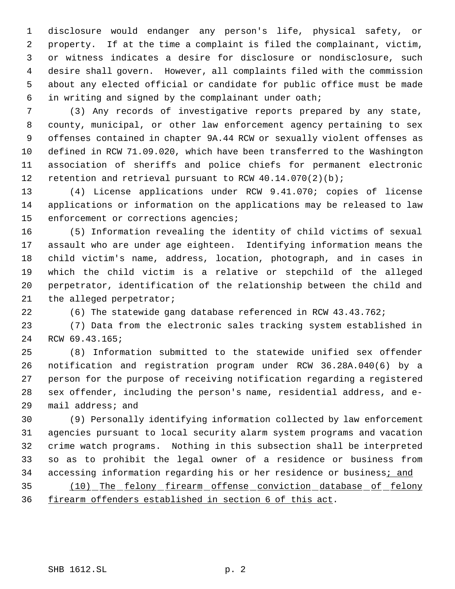disclosure would endanger any person's life, physical safety, or property. If at the time a complaint is filed the complainant, victim, or witness indicates a desire for disclosure or nondisclosure, such desire shall govern. However, all complaints filed with the commission about any elected official or candidate for public office must be made in writing and signed by the complainant under oath;

 (3) Any records of investigative reports prepared by any state, county, municipal, or other law enforcement agency pertaining to sex offenses contained in chapter 9A.44 RCW or sexually violent offenses as defined in RCW 71.09.020, which have been transferred to the Washington association of sheriffs and police chiefs for permanent electronic 12 retention and retrieval pursuant to RCW 40.14.070(2)(b);

 (4) License applications under RCW 9.41.070; copies of license applications or information on the applications may be released to law 15 enforcement or corrections agencies;

 (5) Information revealing the identity of child victims of sexual assault who are under age eighteen. Identifying information means the child victim's name, address, location, photograph, and in cases in which the child victim is a relative or stepchild of the alleged perpetrator, identification of the relationship between the child and the alleged perpetrator;

(6) The statewide gang database referenced in RCW 43.43.762;

 (7) Data from the electronic sales tracking system established in RCW 69.43.165;

 (8) Information submitted to the statewide unified sex offender notification and registration program under RCW 36.28A.040(6) by a person for the purpose of receiving notification regarding a registered sex offender, including the person's name, residential address, and e-mail address; and

 (9) Personally identifying information collected by law enforcement agencies pursuant to local security alarm system programs and vacation crime watch programs. Nothing in this subsection shall be interpreted so as to prohibit the legal owner of a residence or business from 34 accessing information regarding his or her residence or business; and

 (10) The felony firearm offense conviction database of felony firearm offenders established in section 6 of this act.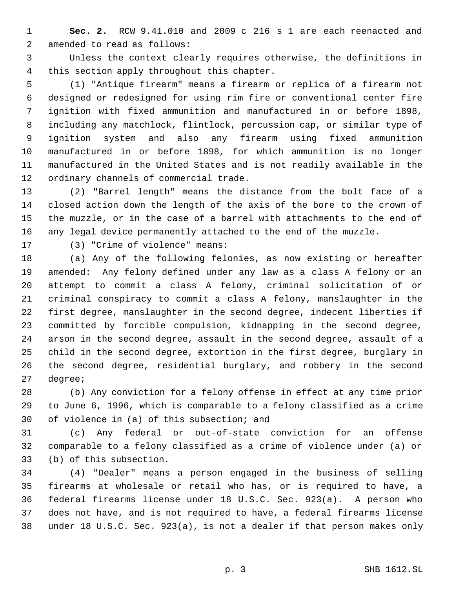**Sec. 2.** RCW 9.41.010 and 2009 c 216 s 1 are each reenacted and amended to read as follows:

 Unless the context clearly requires otherwise, the definitions in this section apply throughout this chapter.

 (1) "Antique firearm" means a firearm or replica of a firearm not designed or redesigned for using rim fire or conventional center fire ignition with fixed ammunition and manufactured in or before 1898, including any matchlock, flintlock, percussion cap, or similar type of ignition system and also any firearm using fixed ammunition manufactured in or before 1898, for which ammunition is no longer manufactured in the United States and is not readily available in the ordinary channels of commercial trade.

 (2) "Barrel length" means the distance from the bolt face of a closed action down the length of the axis of the bore to the crown of the muzzle, or in the case of a barrel with attachments to the end of any legal device permanently attached to the end of the muzzle.

(3) "Crime of violence" means:

 (a) Any of the following felonies, as now existing or hereafter amended: Any felony defined under any law as a class A felony or an attempt to commit a class A felony, criminal solicitation of or criminal conspiracy to commit a class A felony, manslaughter in the first degree, manslaughter in the second degree, indecent liberties if committed by forcible compulsion, kidnapping in the second degree, arson in the second degree, assault in the second degree, assault of a child in the second degree, extortion in the first degree, burglary in the second degree, residential burglary, and robbery in the second degree;

 (b) Any conviction for a felony offense in effect at any time prior to June 6, 1996, which is comparable to a felony classified as a crime of violence in (a) of this subsection; and

 (c) Any federal or out-of-state conviction for an offense comparable to a felony classified as a crime of violence under (a) or (b) of this subsection.

 (4) "Dealer" means a person engaged in the business of selling firearms at wholesale or retail who has, or is required to have, a federal firearms license under 18 U.S.C. Sec. 923(a). A person who does not have, and is not required to have, a federal firearms license under 18 U.S.C. Sec. 923(a), is not a dealer if that person makes only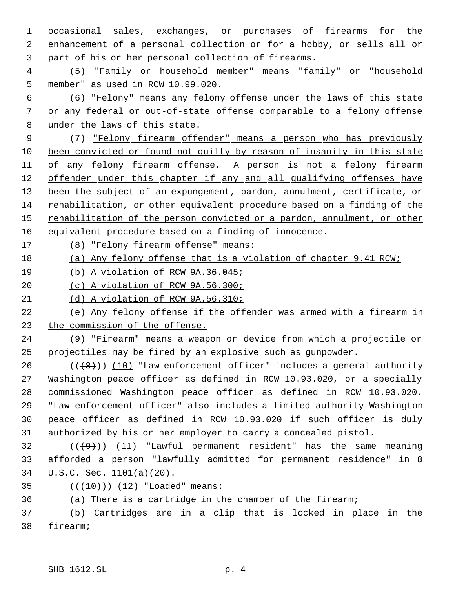occasional sales, exchanges, or purchases of firearms for the enhancement of a personal collection or for a hobby, or sells all or part of his or her personal collection of firearms.

 (5) "Family or household member" means "family" or "household member" as used in RCW 10.99.020.

 (6) "Felony" means any felony offense under the laws of this state or any federal or out-of-state offense comparable to a felony offense under the laws of this state.

 (7) "Felony firearm offender" means a person who has previously been convicted or found not guilty by reason of insanity in this state 11 of any felony firearm offense. A person is not a felony firearm 12 offender under this chapter if any and all qualifying offenses have 13 been the subject of an expungement, pardon, annulment, certificate, or rehabilitation, or other equivalent procedure based on a finding of the 15 rehabilitation of the person convicted or a pardon, annulment, or other equivalent procedure based on a finding of innocence.

17 (8) "Felony firearm offense" means:

(a) Any felony offense that is a violation of chapter 9.41 RCW;

(b) A violation of RCW 9A.36.045;

(c) A violation of RCW 9A.56.300;

(d) A violation of RCW 9A.56.310;

 (e) Any felony offense if the offender was armed with a firearm in the commission of the offense.

 (9) "Firearm" means a weapon or device from which a projectile or projectiles may be fired by an explosive such as gunpowder.

 $((+8))$   $(10)$  "Law enforcement officer" includes a general authority Washington peace officer as defined in RCW 10.93.020, or a specially commissioned Washington peace officer as defined in RCW 10.93.020. "Law enforcement officer" also includes a limited authority Washington peace officer as defined in RCW 10.93.020 if such officer is duly authorized by his or her employer to carry a concealed pistol.

32  $((+9))$  (11) "Lawful permanent resident" has the same meaning afforded a person "lawfully admitted for permanent residence" in 8 U.S.C. Sec. 1101(a)(20).

35  $((+10)) (12)$  "Loaded" means:

(a) There is a cartridge in the chamber of the firearm;

 (b) Cartridges are in a clip that is locked in place in the firearm;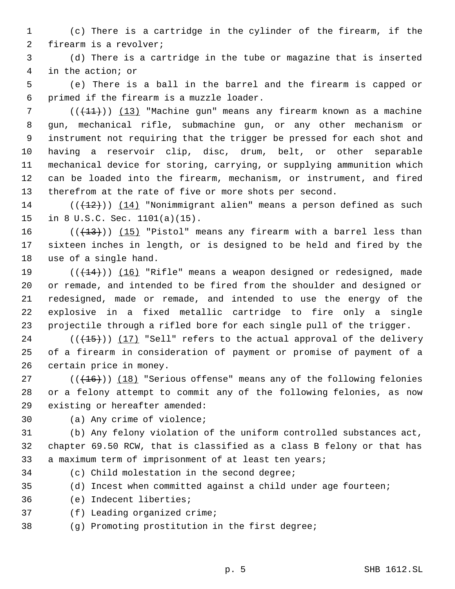(c) There is a cartridge in the cylinder of the firearm, if the firearm is a revolver;

 (d) There is a cartridge in the tube or magazine that is inserted in the action; or

 (e) There is a ball in the barrel and the firearm is capped or primed if the firearm is a muzzle loader.

 ( $(\frac{11}{1})$ ) (13) "Machine gun" means any firearm known as a machine gun, mechanical rifle, submachine gun, or any other mechanism or instrument not requiring that the trigger be pressed for each shot and having a reservoir clip, disc, drum, belt, or other separable mechanical device for storing, carrying, or supplying ammunition which can be loaded into the firearm, mechanism, or instrument, and fired therefrom at the rate of five or more shots per second.

14 ( $(\frac{12}{12})$ ) (14) "Nonimmigrant alien" means a person defined as such in 8 U.S.C. Sec. 1101(a)(15).

16  $((+13))$   $(15)$  "Pistol" means any firearm with a barrel less than sixteen inches in length, or is designed to be held and fired by the use of a single hand.

19 (( $(14)$ )) (16) "Rifle" means a weapon designed or redesigned, made or remade, and intended to be fired from the shoulder and designed or redesigned, made or remade, and intended to use the energy of the explosive in a fixed metallic cartridge to fire only a single projectile through a rifled bore for each single pull of the trigger.

 (( $\left(\frac{15}{15}\right)$ ) (17) "Sell" refers to the actual approval of the delivery of a firearm in consideration of payment or promise of payment of a certain price in money.

27 (( $(16)$ )) (18) "Serious offense" means any of the following felonies or a felony attempt to commit any of the following felonies, as now existing or hereafter amended:

(a) Any crime of violence;

 (b) Any felony violation of the uniform controlled substances act, chapter 69.50 RCW, that is classified as a class B felony or that has a maximum term of imprisonment of at least ten years;

(c) Child molestation in the second degree;

(d) Incest when committed against a child under age fourteen;

(e) Indecent liberties;

(f) Leading organized crime;

(g) Promoting prostitution in the first degree;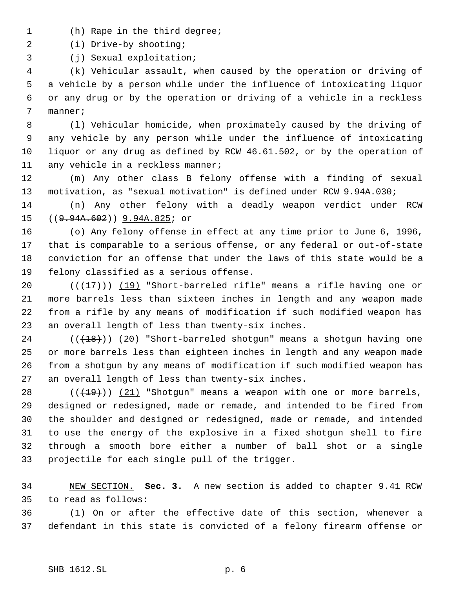- (h) Rape in the third degree;
- (i) Drive-by shooting;
- (j) Sexual exploitation;

 (k) Vehicular assault, when caused by the operation or driving of a vehicle by a person while under the influence of intoxicating liquor or any drug or by the operation or driving of a vehicle in a reckless manner;

 (l) Vehicular homicide, when proximately caused by the driving of any vehicle by any person while under the influence of intoxicating liquor or any drug as defined by RCW 46.61.502, or by the operation of 11 any vehicle in a reckless manner;

 (m) Any other class B felony offense with a finding of sexual motivation, as "sexual motivation" is defined under RCW 9.94A.030;

 (n) Any other felony with a deadly weapon verdict under RCW ((9.94A.602)) 9.94A.825; or

 (o) Any felony offense in effect at any time prior to June 6, 1996, that is comparable to a serious offense, or any federal or out-of-state conviction for an offense that under the laws of this state would be a felony classified as a serious offense.

 $((+17))$  (19) "Short-barreled rifle" means a rifle having one or more barrels less than sixteen inches in length and any weapon made from a rifle by any means of modification if such modified weapon has an overall length of less than twenty-six inches.

24 (( $(18)$ )) (20) "Short-barreled shotgun" means a shotgun having one or more barrels less than eighteen inches in length and any weapon made from a shotgun by any means of modification if such modified weapon has an overall length of less than twenty-six inches.

 $((+19))$   $(21)$  "Shotgun" means a weapon with one or more barrels, designed or redesigned, made or remade, and intended to be fired from the shoulder and designed or redesigned, made or remade, and intended to use the energy of the explosive in a fixed shotgun shell to fire through a smooth bore either a number of ball shot or a single projectile for each single pull of the trigger.

 NEW SECTION. **Sec. 3.** A new section is added to chapter 9.41 RCW to read as follows:

 (1) On or after the effective date of this section, whenever a defendant in this state is convicted of a felony firearm offense or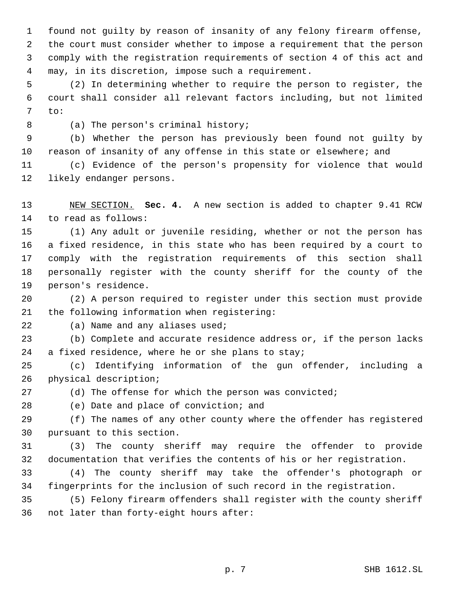found not guilty by reason of insanity of any felony firearm offense, the court must consider whether to impose a requirement that the person comply with the registration requirements of section 4 of this act and may, in its discretion, impose such a requirement.

 (2) In determining whether to require the person to register, the court shall consider all relevant factors including, but not limited to:

(a) The person's criminal history;

 (b) Whether the person has previously been found not guilty by reason of insanity of any offense in this state or elsewhere; and

 (c) Evidence of the person's propensity for violence that would likely endanger persons.

 NEW SECTION. **Sec. 4.** A new section is added to chapter 9.41 RCW to read as follows:

 (1) Any adult or juvenile residing, whether or not the person has a fixed residence, in this state who has been required by a court to comply with the registration requirements of this section shall personally register with the county sheriff for the county of the person's residence.

 (2) A person required to register under this section must provide the following information when registering:

(a) Name and any aliases used;

 (b) Complete and accurate residence address or, if the person lacks a fixed residence, where he or she plans to stay;

 (c) Identifying information of the gun offender, including a physical description;

(d) The offense for which the person was convicted;

(e) Date and place of conviction; and

 (f) The names of any other county where the offender has registered pursuant to this section.

 (3) The county sheriff may require the offender to provide documentation that verifies the contents of his or her registration.

 (4) The county sheriff may take the offender's photograph or fingerprints for the inclusion of such record in the registration.

 (5) Felony firearm offenders shall register with the county sheriff not later than forty-eight hours after: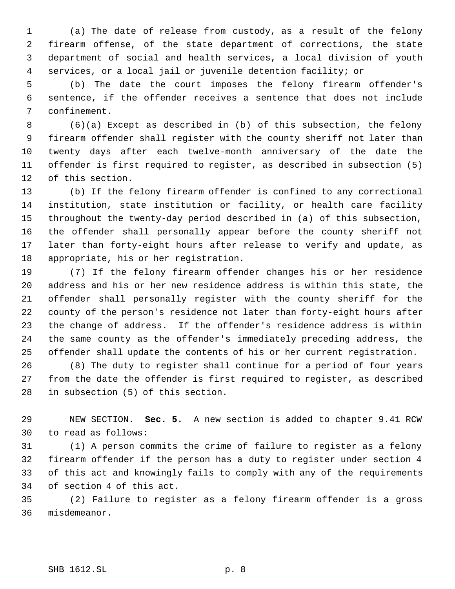(a) The date of release from custody, as a result of the felony firearm offense, of the state department of corrections, the state department of social and health services, a local division of youth services, or a local jail or juvenile detention facility; or

 (b) The date the court imposes the felony firearm offender's sentence, if the offender receives a sentence that does not include confinement.

 (6)(a) Except as described in (b) of this subsection, the felony firearm offender shall register with the county sheriff not later than twenty days after each twelve-month anniversary of the date the offender is first required to register, as described in subsection (5) of this section.

 (b) If the felony firearm offender is confined to any correctional institution, state institution or facility, or health care facility throughout the twenty-day period described in (a) of this subsection, the offender shall personally appear before the county sheriff not later than forty-eight hours after release to verify and update, as appropriate, his or her registration.

 (7) If the felony firearm offender changes his or her residence address and his or her new residence address is within this state, the offender shall personally register with the county sheriff for the county of the person's residence not later than forty-eight hours after the change of address. If the offender's residence address is within the same county as the offender's immediately preceding address, the offender shall update the contents of his or her current registration.

 (8) The duty to register shall continue for a period of four years from the date the offender is first required to register, as described in subsection (5) of this section.

 NEW SECTION. **Sec. 5.** A new section is added to chapter 9.41 RCW to read as follows:

 (1) A person commits the crime of failure to register as a felony firearm offender if the person has a duty to register under section 4 of this act and knowingly fails to comply with any of the requirements of section 4 of this act.

 (2) Failure to register as a felony firearm offender is a gross misdemeanor.